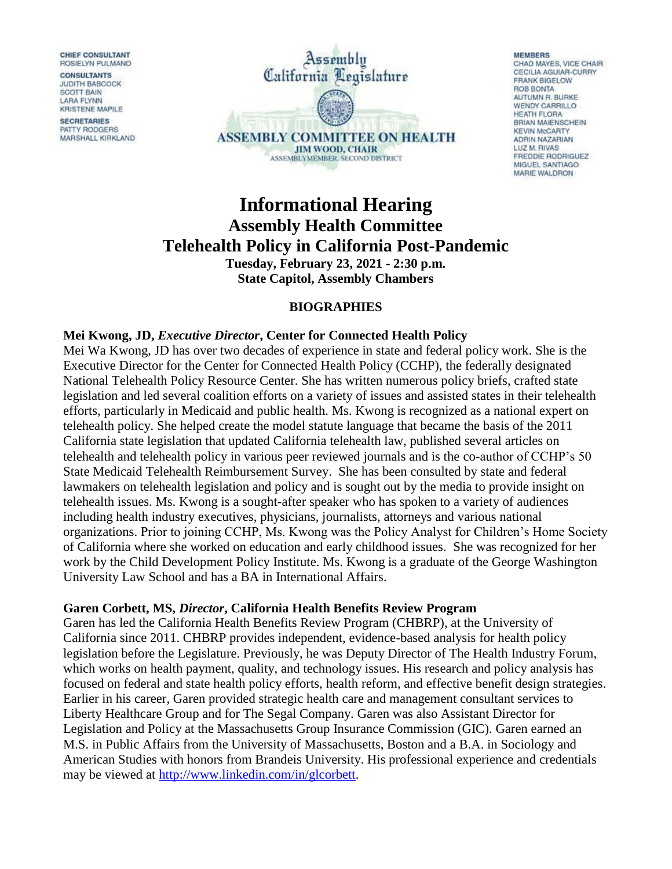**CHIEF CONSULTANT** ROSIELYN PULMANO

**CONSULTANTS JUDITH BABCOCK** SCOTT BAIN **LARA FLYNN KRISTENE MAPILE** 

**SECRETARIES** PATTY RODGERS MARSHALL KIRKLAND



#### **MEMBERS** CHAD MAYES, VICE CHAIR CECILIA AGUIAR-CURRY **FRANK BIGELOW** ROB BONTA AUTUMN R. BURKE **WENDY CARRILLO** HEATH FLORA BRIAN MAIENSCHEIN **KEVIN McCARTY** ADRIN NAZARIAN LUZ M. RIVAS **FREDDIE RODRIGUEZ** MIGUEL SANTIAGO MARIE WALDRON

# **Informational Hearing Assembly Health Committee Telehealth Policy in California Post-Pandemic**

**Tuesday, February 23, 2021 - 2:30 p.m. State Capitol, Assembly Chambers**

# **BIOGRAPHIES**

# **Mei Kwong, JD,** *Executive Director***, Center for Connected Health Policy**

Mei Wa Kwong, JD has over two decades of experience in state and federal policy work. She is the Executive Director for the Center for Connected Health Policy (CCHP), the federally designated National Telehealth Policy Resource Center. She has written numerous policy briefs, crafted state legislation and led several coalition efforts on a variety of issues and assisted states in their telehealth efforts, particularly in Medicaid and public health. Ms. Kwong is recognized as a national expert on telehealth policy. She helped create the model statute language that became the basis of the 2011 California state legislation that updated California telehealth law, published several articles on telehealth and telehealth policy in various peer reviewed journals and is the co-author of CCHP's 50 State Medicaid Telehealth Reimbursement Survey. She has been consulted by state and federal lawmakers on telehealth legislation and policy and is sought out by the media to provide insight on telehealth issues. Ms. Kwong is a sought-after speaker who has spoken to a variety of audiences including health industry executives, physicians, journalists, attorneys and various national organizations. Prior to joining CCHP, Ms. Kwong was the Policy Analyst for Children's Home Society of California where she worked on education and early childhood issues. She was recognized for her work by the Child Development Policy Institute. Ms. Kwong is a graduate of the George Washington University Law School and has a BA in International Affairs.

### **Garen Corbett, MS,** *Director***, California Health Benefits Review Program**

Garen has led the California Health Benefits Review Program (CHBRP), at the University of California since 2011. CHBRP provides independent, evidence-based analysis for health policy legislation before the Legislature. Previously, he was Deputy Director of The Health Industry Forum, which works on health payment, quality, and technology issues. His research and policy analysis has focused on federal and state health policy efforts, health reform, and effective benefit design strategies. Earlier in his career, Garen provided strategic health care and management consultant services to Liberty Healthcare Group and for The Segal Company. Garen was also Assistant Director for Legislation and Policy at the Massachusetts Group Insurance Commission (GIC). Garen earned an M.S. in Public Affairs from the University of Massachusetts, Boston and a B.A. in Sociology and American Studies with honors from Brandeis University. His professional experience and credentials may be viewed at [http://www.linkedin.com/in/glcorbett.](http://www.linkedin.com/in/glcorbett)